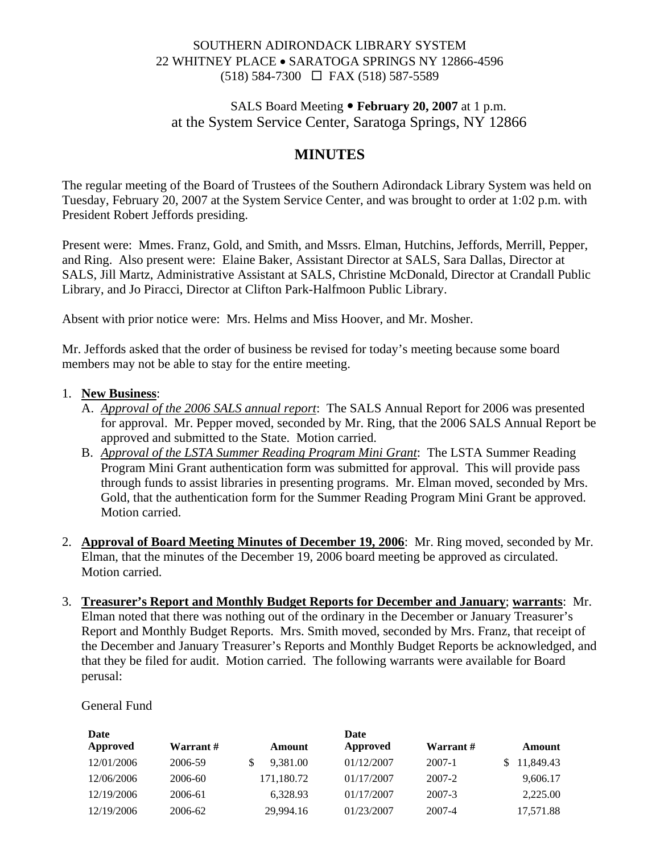### SOUTHERN ADIRONDACK LIBRARY SYSTEM 22 WHITNEY PLACE • SARATOGA SPRINGS NY 12866-4596 (518) 584-7300 FAX (518) 587-5589

## SALS Board Meeting • February 20, 2007 at 1 p.m. at the System Service Center, Saratoga Springs, NY 12866

# **MINUTES**

The regular meeting of the Board of Trustees of the Southern Adirondack Library System was held on Tuesday, February 20, 2007 at the System Service Center, and was brought to order at 1:02 p.m. with President Robert Jeffords presiding.

Present were: Mmes. Franz, Gold, and Smith, and Mssrs. Elman, Hutchins, Jeffords, Merrill, Pepper, and Ring. Also present were: Elaine Baker, Assistant Director at SALS, Sara Dallas, Director at SALS, Jill Martz, Administrative Assistant at SALS, Christine McDonald, Director at Crandall Public Library, and Jo Piracci, Director at Clifton Park-Halfmoon Public Library.

Absent with prior notice were: Mrs. Helms and Miss Hoover, and Mr. Mosher.

Mr. Jeffords asked that the order of business be revised for today's meeting because some board members may not be able to stay for the entire meeting.

#### 1. **New Business**:

- A. *Approval of the 2006 SALS annual report*: The SALS Annual Report for 2006 was presented for approval. Mr. Pepper moved, seconded by Mr. Ring, that the 2006 SALS Annual Report be approved and submitted to the State. Motion carried.
- B. *Approval of the LSTA Summer Reading Program Mini Grant*: The LSTA Summer Reading Program Mini Grant authentication form was submitted for approval. This will provide pass through funds to assist libraries in presenting programs. Mr. Elman moved, seconded by Mrs. Gold, that the authentication form for the Summer Reading Program Mini Grant be approved. Motion carried.
- 2. **Approval of Board Meeting Minutes of December 19, 2006**: Mr. Ring moved, seconded by Mr. Elman, that the minutes of the December 19, 2006 board meeting be approved as circulated. Motion carried.
- 3. **Treasurer's Report and Monthly Budget Reports for December and January**; **warrants**: Mr. Elman noted that there was nothing out of the ordinary in the December or January Treasurer's Report and Monthly Budget Reports. Mrs. Smith moved, seconded by Mrs. Franz, that receipt of the December and January Treasurer's Reports and Monthly Budget Reports be acknowledged, and that they be filed for audit. Motion carried. The following warrants were available for Board perusal:

General Fund

| Date       |           |            | Date       |           |                 |
|------------|-----------|------------|------------|-----------|-----------------|
| Approved   | Warrant # | Amount     | Approved   | Warrant # | Amount          |
| 12/01/2006 | 2006-59   | 9.381.00   | 01/12/2007 | 2007-1    | 11,849.43<br>S. |
| 12/06/2006 | 2006-60   | 171,180.72 | 01/17/2007 | 2007-2    | 9,606.17        |
| 12/19/2006 | 2006-61   | 6,328.93   | 01/17/2007 | 2007-3    | 2,225.00        |
| 12/19/2006 | 2006-62   | 29,994.16  | 01/23/2007 | 2007-4    | 17,571.88       |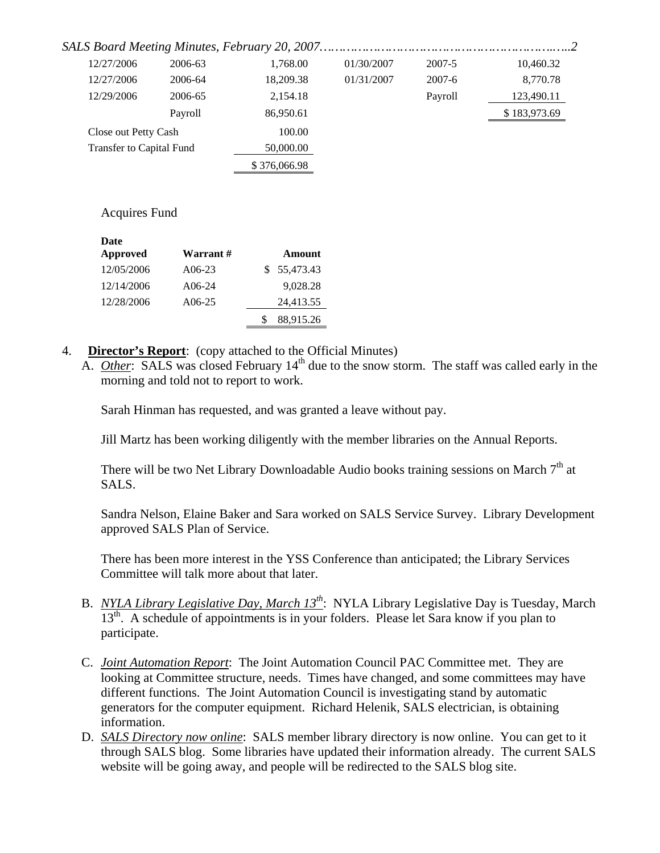| 12/27/2006               | 2006-63 | 1.768.00     | 01/30/2007 | 2007-5   | 10,460.32    |
|--------------------------|---------|--------------|------------|----------|--------------|
| 12/27/2006               | 2006-64 | 18.209.38    | 01/31/2007 | $2007-6$ | 8,770.78     |
| 12/29/2006               | 2006-65 | 2,154.18     |            | Payroll  | 123,490.11   |
|                          | Payroll | 86,950.61    |            |          | \$183,973.69 |
| Close out Petty Cash     |         | 100.00       |            |          |              |
| Transfer to Capital Fund |         | 50,000.00    |            |          |              |
|                          |         | \$376,066.98 |            |          |              |

#### Acquires Fund

| Approved<br>Warrant #<br>Amount<br>\$55,473.43<br>12/05/2006<br>$A06-23$ |  |
|--------------------------------------------------------------------------|--|
|                                                                          |  |
|                                                                          |  |
| 9,028.28<br>12/14/2006<br>$A06-24$                                       |  |
| 12/28/2006<br>24,413.55<br>$A06-25$                                      |  |
| 88,915.26                                                                |  |

- 4. **Director's Report**: (copy attached to the Official Minutes)
	- A. *Other*: SALS was closed February 14<sup>th</sup> due to the snow storm. The staff was called early in the morning and told not to report to work.

Sarah Hinman has requested, and was granted a leave without pay.

Jill Martz has been working diligently with the member libraries on the Annual Reports.

There will be two Net Library Downloadable Audio books training sessions on March  $7<sup>th</sup>$  at SALS.

Sandra Nelson, Elaine Baker and Sara worked on SALS Service Survey. Library Development approved SALS Plan of Service.

There has been more interest in the YSS Conference than anticipated; the Library Services Committee will talk more about that later.

- B. *NYLA Library Legislative Day, March 13th*: NYLA Library Legislative Day is Tuesday, March 13<sup>th</sup>. A schedule of appointments is in your folders. Please let Sara know if you plan to participate.
- C. *Joint Automation Report*: The Joint Automation Council PAC Committee met. They are looking at Committee structure, needs. Times have changed, and some committees may have different functions. The Joint Automation Council is investigating stand by automatic generators for the computer equipment. Richard Helenik, SALS electrician, is obtaining information.
- D. *SALS Directory now online*: SALS member library directory is now online. You can get to it through SALS blog. Some libraries have updated their information already. The current SALS website will be going away, and people will be redirected to the SALS blog site.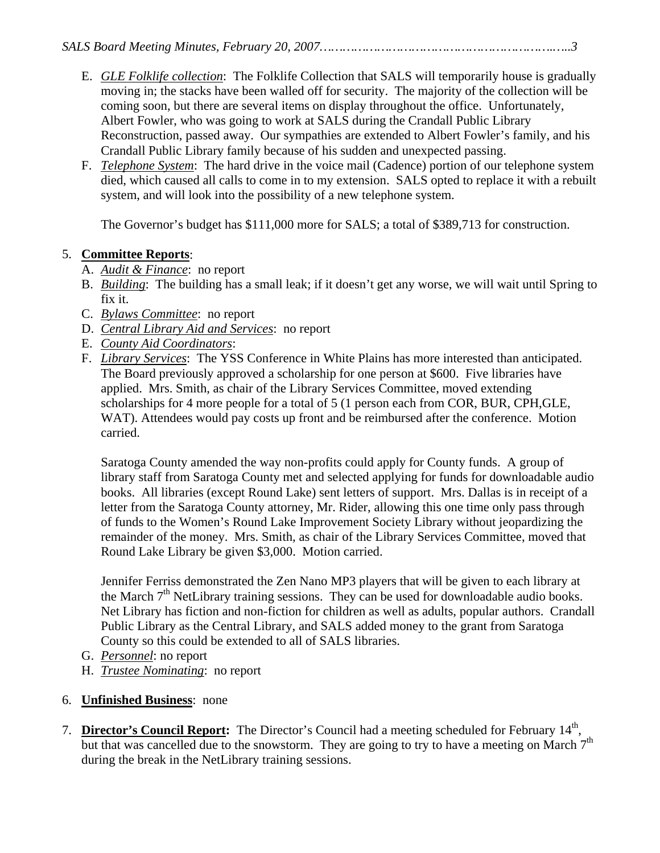- E. *GLE Folklife collection*: The Folklife Collection that SALS will temporarily house is gradually moving in; the stacks have been walled off for security. The majority of the collection will be coming soon, but there are several items on display throughout the office. Unfortunately, Albert Fowler, who was going to work at SALS during the Crandall Public Library Reconstruction, passed away. Our sympathies are extended to Albert Fowler's family, and his Crandall Public Library family because of his sudden and unexpected passing.
- F. *Telephone System*: The hard drive in the voice mail (Cadence) portion of our telephone system died, which caused all calls to come in to my extension. SALS opted to replace it with a rebuilt system, and will look into the possibility of a new telephone system.

The Governor's budget has \$111,000 more for SALS; a total of \$389,713 for construction.

## 5. **Committee Reports**:

- A. *Audit & Finance*: no report
- B. *Building*: The building has a small leak; if it doesn't get any worse, we will wait until Spring to fix it.
- C. *Bylaws Committee*: no report
- D. *Central Library Aid and Services*: no report
- E. *County Aid Coordinators*:
- F. *Library Services*: The YSS Conference in White Plains has more interested than anticipated. The Board previously approved a scholarship for one person at \$600. Five libraries have applied. Mrs. Smith, as chair of the Library Services Committee, moved extending scholarships for 4 more people for a total of 5 (1 person each from COR, BUR, CPH,GLE, WAT). Attendees would pay costs up front and be reimbursed after the conference. Motion carried.

Saratoga County amended the way non-profits could apply for County funds. A group of library staff from Saratoga County met and selected applying for funds for downloadable audio books. All libraries (except Round Lake) sent letters of support. Mrs. Dallas is in receipt of a letter from the Saratoga County attorney, Mr. Rider, allowing this one time only pass through of funds to the Women's Round Lake Improvement Society Library without jeopardizing the remainder of the money. Mrs. Smith, as chair of the Library Services Committee, moved that Round Lake Library be given \$3,000. Motion carried.

Jennifer Ferriss demonstrated the Zen Nano MP3 players that will be given to each library at the March  $7<sup>th</sup>$  NetLibrary training sessions. They can be used for downloadable audio books. Net Library has fiction and non-fiction for children as well as adults, popular authors. Crandall Public Library as the Central Library, and SALS added money to the grant from Saratoga County so this could be extended to all of SALS libraries.

- G. *Personnel*: no report
- H. *Trustee Nominating*: no report
- 6. **Unfinished Business**: none
- 7. **Director's Council Report:** The Director's Council had a meeting scheduled for February 14<sup>th</sup>, but that was cancelled due to the snowstorm. They are going to try to have a meeting on March  $7<sup>th</sup>$ during the break in the NetLibrary training sessions.